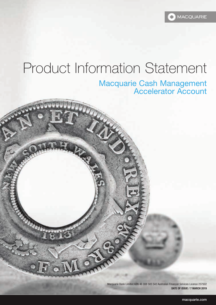**MACQUARIE** 

# Product Information Statement

 $\mathcal{L}_{\mathbf{z}}$ 

# Macquarie Cash Management Accelerator Account

Macquarie Bank Limited ABN 46 008 583 542 Australian Financial Services Licence 237502 **DATE OF ISSUE / 7 MARCH 2019**

1 macquarie.com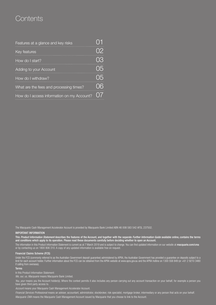# **Contents**

| Features at a glance and key risks         |    |
|--------------------------------------------|----|
| Key features                               |    |
| How do I start?                            |    |
| Adding to your Account                     |    |
| How do I withdraw?                         |    |
| What are the fees and processing times?    | 06 |
| How do I access information on my Account? |    |

The Macquarie Cash Management Accelerator Account is provided by Macquarie Bank Limited ABN 46 008 583 542 AFSL 237502.

#### IMPORTANT INFORMATION

This *Product Information Statement* describes the features of the Account, and together with the separate *Further Information Guide* available online, contains the terms and conditions which apply to its operation. Please read these documents carefully before deciding whether to open an Account.

The information in this Product Information Statement is current as at 7 March 2019 and is subject to change. You can find updated information on our website at macquarie.com/cma or by contacting us on 1800 806 310. A copy of any updated information is available free on request.

#### Financial Claims Scheme (FCS)

Under the FCS (commonly referred to as the Australian Government deposit guarantee) administered by APRA, the Australian Government has provided a guarantee on deposits subject to a limit for each account holder. Further information about the FCS can be obtained from the APRA website at www.apra.gov.au and the APRA hotline on 1300 558 849 (or +61 2 9210 3480 if calling from overseas).

#### Terms

In this Product Information Statement:

*We, our, us, Macquarie* means Macquarie Bank Limited.

You, your means you the Account holder(s). Where the context permits it also includes any person carrying out any account transaction on your behalf, for example a person you have given third party access to.

*Account* means your Macquarie Cash Management Accelerator Account.

*Financial Services Professional* means an adviser, accountant, administrator, stockbroker, risk specialist, mortgage broker, intermediary or any person that acts on your behalf. *Macquarie CMA* means the Macquarie Cash Management Account issued by Macquarie that you choose to link to the Account.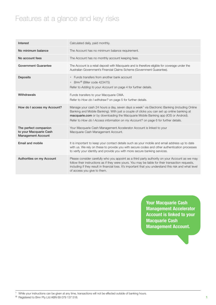# Features at a glance and key risks

| Interest                                                                     | Calculated daily, paid monthly.                                                                                                                                                                                                                                                                                                                                                    |
|------------------------------------------------------------------------------|------------------------------------------------------------------------------------------------------------------------------------------------------------------------------------------------------------------------------------------------------------------------------------------------------------------------------------------------------------------------------------|
| No minimum balance                                                           | The Account has no minimum balance requirement.                                                                                                                                                                                                                                                                                                                                    |
| No account fees                                                              | The Account has no monthly account keeping fees.                                                                                                                                                                                                                                                                                                                                   |
| <b>Government Guarantee</b>                                                  | The Account is a retail deposit with Macquarie and is therefore eligible for coverage under the<br>Australian Government's Financial Claims Scheme (Government Guarantee).                                                                                                                                                                                                         |
| <b>Deposits</b>                                                              | Funds transfers from another bank account<br>BPAY <sup>®</sup> (Biller code 423475)<br>Refer to Adding to your Account on page 4 for further details.                                                                                                                                                                                                                              |
| Withdrawals                                                                  | Funds transfers to your Macquarie CMA.<br>Refer to How do I withdraw? on page 5 for further details.                                                                                                                                                                                                                                                                               |
| How do I access my Account?                                                  | Manage your cash 24 hours a day, seven days a week <sup>1</sup> via Electronic Banking (including Online<br>Banking and Mobile Banking). With just a couple of clicks you can set up online banking at<br>macquarie.com or by downloading the Macquarie Mobile Banking app (IOS or Android).<br>Refer to How do I Access information on my Account? on page 6 for further details. |
| The perfect companion<br>to your Macquarie Cash<br><b>Management Account</b> | Your Macquarie Cash Management Accelerator Account is linked to your<br>Macquarie Cash Management Account.                                                                                                                                                                                                                                                                         |
| Email and mobile                                                             | It is important to keep your contact details such as your mobile and email address up to date<br>with us. We rely on these to provide you with secure codes and other authentication processes<br>to verify your identity and provide you with more secure banking services.                                                                                                       |
| Authorities on my Account                                                    | Please consider carefully who you appoint as a third party authority on your Account as we may<br>follow their instructions as if they were yours. You may be liable for their transaction requests,<br>including if they result in financial loss. It's important that you understand this risk and what level<br>of access you give to them.                                     |

**Your Macquarie Cash Management Accelerator Account is linked to your Macquarie Cash Management Account.**

<sup>1</sup> While your instructions can be given at any time, transactions will not be effected outside of banking hours.

® Registered to BPAY Pty Ltd ABN 69 079 137 518.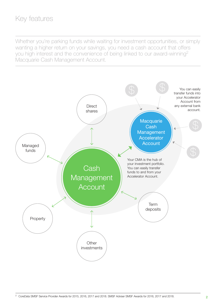# Key features

Whether you're parking funds while waiting for investment opportunities, or simply wanting a higher return on your savings, you need a cash account that offers you high interest and the convenience of being linked to our award-winning2 Macquarie Cash Management Account.

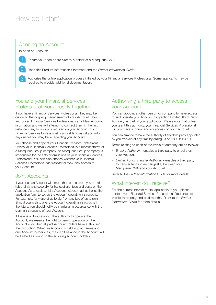### Opening an Account

To open an Account:

Ensure you open or are already a holder of a Macquarie CMA.

2 Read this Product Information Statement and the *Further Information Guide*.

3 Authorise the online application process initiated by your Financial Services Professional. Some applicants may be required to provide additional documentation.

## You and your Financial Services Professional work closely together

If you have a Financial Services Professional, they may be critical to the ongoing management of your Account. Your authorised Financial Services Professional can obtain Account information and we will attempt to contact them in the first instance if any follow up is required on your Account. Your Financial Services Professional is also able to assist you with any queries you may have regarding your Account.

You choose and appoint your Financial Services Professional. Unless your Financial Services Professional is a representative of a Macquarie Group company, no Macquarie Group company is responsible for the acts or omissions of your Financial Services Professional. You can also choose whether your Financial Services Professional has transact or view-only access to your Account.

## Joint Accounts

If you open an Account with more than one person, you are all liable jointly and severally for transactions, fees and costs on the Account. As a result, all joint Account holders must authorise the application form to set up the Account operating instructions. For example, 'any one of us to sign' or 'any two of us to sign'. Should you wish to alter the Account operating instructions in the future, you should notify us in writing, in accordance with the signing instructions of your Account.

If there is a dispute about the authority to operate the Account, we reserve the right to permit operation on the Account only when all joint Account holders have authorised the instruction. When an Account is held in joint names and one Account holder dies, the credit balance in the Account will be treated as owing to the surviving Account holders.

#### Authorising a third party to access your Account

You can appoint another person or company to have access to and operate your Account by granting Limited Third Party Authority as part of your application. Please note that unless you grant this authority, your Financial Services Professional will only have account enquiry access on your account.

You can arrange to have the authority of any third party appointed by you revoked at any time by calling us on 1800 806 310.

Terms relating to each of the levels of authority are as follows:

- *Enquiry Authority* enables a third party to enquire on your Account
- *Limited Funds Transfer Authority*  enables a third party to transfer funds interchangeably between your Macquarie CMA and your Account.

Refer to the *Further Information Guide* for more details.

#### What interest do I receive?

For the current interest rate(s) applicable to you, please contact your Financial Services Professional. Your interest is calculated daily and paid monthly. Refer to the *Further Information Guide* for more details.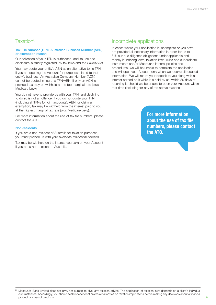#### Taxation3

#### Tax File Number (TFN), Australian Business Number (ABN), or exemption reason

Our collection of your TFN is authorised, and its use and disclosure is strictly regulated, by tax laws and the *Privacy Act*.

You may quote your entity's ABN as an alternative to its TFN if you are opening the Account for purposes related to that entity's business. An Australian Company Number (ACN) cannot be quoted in lieu of a TFN/ABN. If only an ACN is provided tax may be withheld at the top marginal rate (plus Medicare Levy).

You do not have to provide us with your TFN, and declining to do so is not an offence. If you do not quote your TFN (including all TFNs for joint accounts), ABN, or claim an exemption, tax may be withheld from the interest paid to you at the highest marginal tax rate (plus Medicare Levy).

For more information about the use of tax file numbers, please contact the ATO.

#### Non-residents

If you are a non-resident of Australia for taxation purposes, you must provide us with your overseas residential address.

Tax may be withheld on the interest you earn on your Account if you are a non-resident of Australia.

#### Incomplete applications

In cases where your application is incomplete or you have not provided all necessary information in order for us to fulfil our due diligence obligations under applicable antimoney laundering laws, taxation laws, rules and subordinate instruments and/or Macquarie internal policies and procedures, we will be unable to complete the application and will open your Account only when we receive all required information. We will return your deposit to you along with all interest earned on it while it is held by us, within 30 days of receiving it, should we be unable to open your Account within that time (including for any of the above reasons).

> **For more information about the use of tax file numbers, please contact the ATO.**

<sup>3</sup> Macquarie Bank Limited does not give, nor purport to give, any taxation advice. The application of taxation laws depends on a client's individual circumstances. Accordingly, you should seek independent professional advice on taxation implications before making any decisions about a financial product or class of products.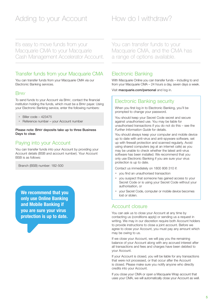# Adding to your Account How do I withdraw?

It's easy to move funds from your Macquarie CMA to your Macquarie Cash Management Accelerator Account.

## Transfer funds from your Macquarie CMA

You can transfer funds from your Macquarie CMA via our Electronic Banking services.

#### **B**<sub>PAY</sub>

To send funds to your Account via BPAY, contact the financial institution holding the funds, which must be a BPAY payer. Using your Electronic Banking service, enter the following numbers:

- Biller code 423475
- Reference number your Account number

Please note: BPAY deposits take up to three Business Days to clear.

# Paying into your Account

You can transfer funds into your Account by providing your Account details (BSB and account number). Your Account BSB is as follows:

Branch (BSB) number: 182-500

**We recommend that you only use Online Banking and Mobile Banking if you are sure your virus protection is up to date.**

You can transfer funds to your Macquarie CMA, and the CMA has a range of options available.

#### Electronic Banking

With Macquarie Online you can transfer funds – including to and from your Macquarie CMA – 24 hours a day, seven days a week.

Visit macquarie.com/personal and log in.

#### Electronic Banking security

When you first log in to Electronic Banking, you'll be prompted to change your password.

You should keep your Secret Code secret and secure against unauthorised use. You may be liable for unauthorised transactions if you do not do this – see the *Further Information Guide* for details.

You should always keep your computer and mobile device up to date with anti-virus and anti-spyware software, set up with firewall protection and scanned regularly. Avoid using shared computers (eg at an internet cafe) as you may be unable to check whether the latest anti-virus software has been installed. We recommend that you only use Electronic Banking if you are sure your virus protection is up to date.

Contact us immediately on 1800 806 310 if:

- you find an unauthorised transaction
- you suspect that someone has gained access to your Secret Code or is using your Secret Code without your authorisation, or
- your Secret Code, computer or mobile device becomes lost or stolen.

#### Account closure

You can ask us to close your Account at any time by contacting us (conditions apply) or sending us a request in writing. We may in our discretion require both Account holders to provide instructions to close a joint account. Before we agree to close your Account, you must pay any amount which may be owing to us.

If we close your Account, we will pay you the remaining balance of your Account along with any accrued interest after all transactions and fees and charges have been debited to your Account.

If your Account is closed, you will be liable for any transactions that were not processed, or that occur after the Account is closed. Please make sure you notify anyone who directly credits into your Account.

If you close your CMA or open a Macquarie Wrap account that uses your CMA, we will automatically close your Account as well.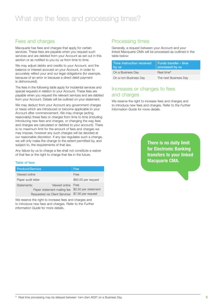## Fees and charges

Macquarie has fees and charges that apply for certain services. These fees are payable when you request such services and are debited from your Account as set out in this section or as notified to you by us from time to time.

We may adjust debits and credits to your Account, and the balance or interest accrued on your Account, in order to accurately reflect your and our legal obligations (for example, because of an error or because a direct debit payment is dishonoured).

The fees in the following table apply for incidental services and special requests in relation to your Account. These fees are payable when you request the relevant services and are debited from your Account. Details will be outlined on your statement.

We may deduct from your Account any government charges or taxes which are introduced or become applicable to your Account after commencement. We may change (acting reasonably) these fees or charges from time to time (including introducing new fees and charges, or changing the way fees and charges are calculated or debited to your account). There is no maximum limit for the amount of fees and charges we may impose, however any such charges will be decided at our reasonable discretion. If any law regulates such a change, we will only make the change to the extent permitted by, and subject to, the requirements of that law.

Any failure by us to charge a fee shall not constitute a waiver of that fee or the right to charge that fee in the future.

#### Table of fees

| <b>Product/Service</b>                                                      | Fee                                                              |
|-----------------------------------------------------------------------------|------------------------------------------------------------------|
| Viewed online                                                               | Free                                                             |
| Paper audit letter                                                          | \$60.00 per request                                              |
| Statements:<br>Paper statement mailing fee<br>Requested via Client Services | Viewed online Free<br>\$2.50 per statement<br>\$7.00 per request |

We reserve the right to increase fees and charges and to introduce new fees and charges. Refer to the *Further Information Guide* for more details.

# Processing times

Generally, a request between your Account and your linked Macquarie CMA will be processed as outlined in the table below:

| Time instruction received<br>by us | l Funds transfer – time<br>processed by us |
|------------------------------------|--------------------------------------------|
| On a Business Day                  | Real time <sup>4</sup>                     |
| On a non-Business Day              | The next Business Day                      |

### Increases or changes to fees and charges

We reserve the right to increase fees and charges and to introduce new fees and charges. Refer to the *Further Information Guide* for more details.

> **There is no daily limit for Electronic Banking transfers to your linked Macquarie CMA.**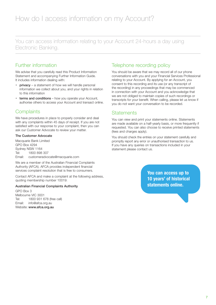You can access information relating to your Account 24-hours a day using Electronic Banking.

### Further information

We advise that you carefully read this Product Information Statement and accompanying Further Information Guide. It includes information dealing with:

- privacy a statement of how we will handle personal information we collect about you, and your rights in relation to this information
- terms and conditions how you operate your Account, authorise others to access your Account and transact online.

#### **Complaints**

We have procedures in place to properly consider and deal with any complaints within 45 days of receipt. If you are not satisfied with our response to your complaint, then you can ask our Customer Advocate to review your matter.

#### The Customer Advocate

Macquarie Bank Limited GPO Box 4294 Sydney NSW 1164 Tel: 1800 898 307 Email: customeradvocate@macquarie.com

We are a member of the Australian Financial Complaints Authority (AFCA). AFCA provides independent financial services complaint resolution that is free to consumers.

Contact AFCA and make a complaint at the following address, quoting membership number 10019:

#### Australian Financial Complaints Authority

GPO Box 3 Melbourne VIC 3001 Tel: 1800 931 678 (free call) Email: info@afca.org.au Website: www.afca.org.au

### Telephone recording policy

You should be aware that we may record all of our phone conversations with you and your Financial Services Professional relating to your Account. By applying for an Account, you consent to this recording and its use (or any transcript of the recording) in any proceedings that may be commenced in connection with your Account and you acknowledge that we are not obliged to maintain copies of such recordings or transcripts for your benefit. When calling, please let us know if you do not want your conversation to be recorded.

## **Statements**

You can view and print your statements online. Statements are made available on a half-yearly basis, or more frequently if requested. You can also choose to receive printed statements (fees and charges apply).

You should check the entries on your statement carefully and promptly report any error or unauthorised transaction to us. If you have any queries on transactions included in your statement please contact us.

> **You can access up to 10 years' of historical statements online.**